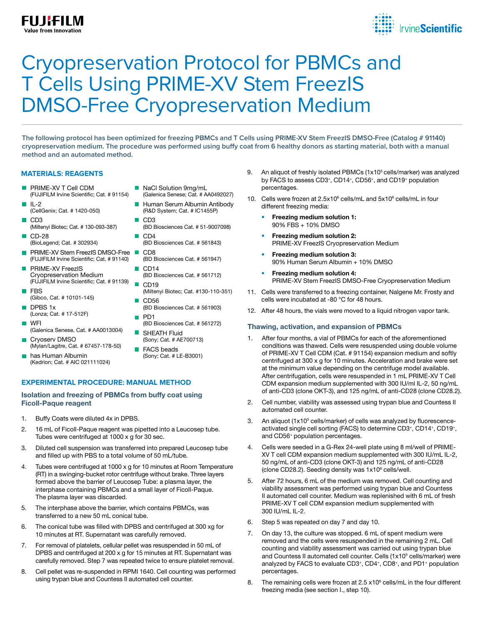# Cryopreservation Protocol for PBMCs and T Cells Using PRIME-XV Stem FreezIS DMSO-Free Cryopreservation Medium

**The following protocol has been optimized for freezing PBMCs and T Cells using PRIME-XV Stem FreezIS DMSO-Free (Catalog # 91140) cryopreservation medium. The procedure was performed using buffy coat from 6 healthy donors as starting material, both with a manual method and an automated method.**

### **MATERIALS: REAGENTS**

**FUJIFILM** 

alue from Innovation

- PRIME-XV T Cell CDM **TT** (FUJIFILM Irvine Scientific; Cat. # 91154)
- $II -2$ (CellGenix; Cat. # 1420-050)
- CD3 (Miltenyi Biotec; Cat. # 130-093-387)
- **Tale** CD-28 (BioLegend; Cat. # 302934)
- **PRIME-XV Stem FreezIS DMSO-Free** (FUJIFILM Irvine Scientific; Cat. # 91140)
- PRIME-XV FreezIS Cryopreservation Medium (FUJIFILM Irvine Scientific; Cat. # 91139)
- FBS (Gibco, Cat. # 10101-145)
- DPBS 1x П (Lonza; Cat. # 17-512F)
- П WFI (Galenica Senese, Cat. # AA0013004)
- Cryoserv DMSO **Tale** (Mylan/Lagitre, Cat. # 67457-178-50)
- $\Box$ has Human Albumin (Kedrion; Cat. # AIC 021111024)
- NaCl Solution 9mg/mL
- (Galenica Senese; Cat. # AA0492027)
- Human Serum Albumin Antibody (R&D System; Cat. # IC1455P)
- CD3 (BD Biosciences Cat. # 51-9007098)  $\Box$  CD4
- (BD Biosciences Cat. # 561843)
- CD8 (BD Biosciences Cat. # 561947)
- $\blacksquare$  CD14 (BD Biosciences Cat. # 561712)  $\Box$ CD19
- (Miltenyi Biotec; Cat. #130-110-351)  $\Box$  CD56
- (BD Biosciences Cat. # 561903) **PD1**
- (BD Biosciences Cat. # 561272) SHEATH Fluid
- (Sony; Cat. # AE700713) **FACS** beads (Sony; Cat. # LE-B3001)
- **EXPERIMENTAL PROCEDURE: MANUAL METHOD**

#### Isolation and freezing of PBMCs from buffy coat using Ficoll-Paque reagent

- 1. Buffy Coats were diluted 4x in DPBS.
- 2. 16 mL of Ficoll-Paque reagent was pipetted into a Leucosep tube. Tubes were centrifuged at 1000 x g for 30 sec.
- 3. Diluted cell suspension was transferred into prepared Leucosep tube and filled up with PBS to a total volume of 50 mL/tube.
- 4. Tubes were centrifuged at 1000 x g for 10 minutes at Room Temperature (RT) in a swinging-bucket rotor centrifuge without brake. Three layers formed above the barrier of Leucosep Tube: a plasma layer, the interphase containing PBMCs and a small layer of Ficoll-Paque. The plasma layer was discarded.
- 5. The interphase above the barrier, which contains PBMCs, was transferred to a new 50 mL conical tube.
- 6. The conical tube was filled with DPBS and centrifuged at 300 xg for 10 minutes at RT. Supernatant was carefully removed.
- 7. For removal of platelets, cellular pellet was resuspended in 50 mL of DPBS and centrifuged at 200 x g for 15 minutes at RT. Supernatant was carefully removed. Step 7 was repeated twice to ensure platelet removal.
- 8. Cell pellet was re-suspended in RPMI 1640. Cell counting was performed using trypan blue and Countess II automated cell counter.
- 9. An aliquot of freshly isolated PBMCs (1x10<sup>5</sup> cells/marker) was analyzed by FACS to assess CD3+, CD14+, CD56+, and CD19+ population percentages.
- 10. Cells were frozen at 2.5x10<sup>6</sup> cells/mL and 5x10<sup>6</sup> cells/mL in four different freezing media:
	- Freezing medium solution 1: 90% FBS + 10% DMSO
	- Freezing medium solution 2: PRIME-XV FreezIS Cryopreservation Medium
	- Freezing medium solution 3: 90% Human Serum Albumin + 10% DMSO
	- Freezing medium solution 4: PRIME-XV Stem FreezIS DMSO-Free Cryopreservation Medium
- 11. Cells were transferred to a freezing container, Nalgene Mr. Frosty and cells were incubated at -80 °C for 48 hours.
- 12. After 48 hours, the vials were moved to a liquid nitrogen vapor tank.

# Thawing, activation, and expansion of PBMCs

- 1. After four months, a vial of PBMCs for each of the aforementioned conditions was thawed. Cells were resuspended using double volume of PRIME-XV T Cell CDM (Cat. # 91154) expansion medium and softly centrifuged at 300 x g for 10 minutes. Acceleration and brake were set at the minimum value depending on the centrifuge model available. After centrifugation, cells were resuspended in 1 mL PRIME-XV T Cell CDM expansion medium supplemented with 300 IU/ml IL-2, 50 ng/mL of anti-CD3 (clone OKT-3), and 125 ng/mL of anti-CD28 (clone CD28.2).
- 2. Cell number, viability was assessed using trypan blue and Countess II automated cell counter.
- 3. An aliquot (1x10<sup>5</sup> cells/marker) of cells was analyzed by fluorescenceactivated single cell sorting (FACS) to determine CD3+, CD14+, CD19+, and CD56+ population percentages.
- 4. Cells were seeded in a G-Rex 24-well plate using 8 ml/well of PRIME-XV T cell CDM expansion medium supplemented with 300 IU/mL IL-2, 50 ng/mL of anti-CD3 (clone OKT-3) and 125 ng/mL of anti-CD28 (clone CD28.2). Seeding density was  $1x10^6$  cells/well.
- 5. After 72 hours, 6 mL of the medium was removed. Cell counting and viability assessment was performed using trypan blue and Countess II automated cell counter. Medium was replenished with 6 mL of fresh PRIME-XV T cell CDM expansion medium supplemented with 300 IU/mL IL-2.
- 6. Step 5 was repeated on day 7 and day 10.
- 7. On day 13, the culture was stopped. 6 mL of spent medium were removed and the cells were resuspended in the remaining 2 mL. Cell counting and viability assessment was carried out using trypan blue and Countess II automated cell counter. Cells (1x10<sup>5</sup> cells/marker) were analyzed by FACS to evaluate CD3+, CD4+, CD8+, and PD1+ population percentages.
- 8. The remaining cells were frozen at 2.5 x10<sup>6</sup> cells/mL in the four different freezing media (see section I., step 10).